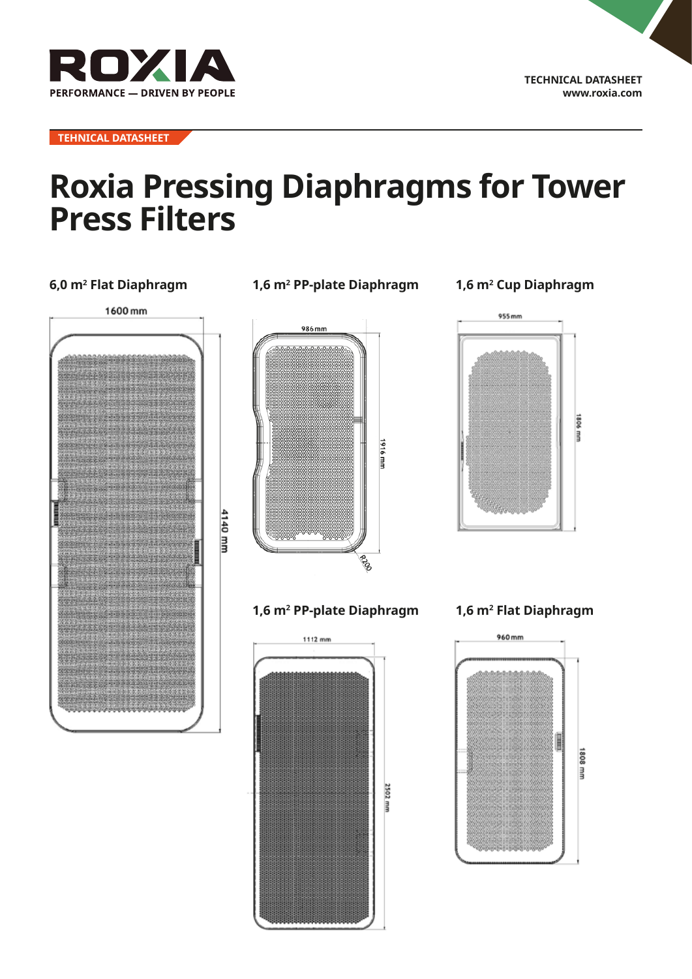

**TEHNICAL DATASHEET**

# **Roxia Pressing Diaphragms for Tower Press Filters**

### **6,0 m2 Flat Diaphragm 1,6 m2**



## **PP-plate Diaphragm** 986 mm



### **1,6 m2 PP-plate Diaphragm**



## **1,6 m2 Cup Diaphragm**



#### **1,6 m2 Flat Diaphragm**